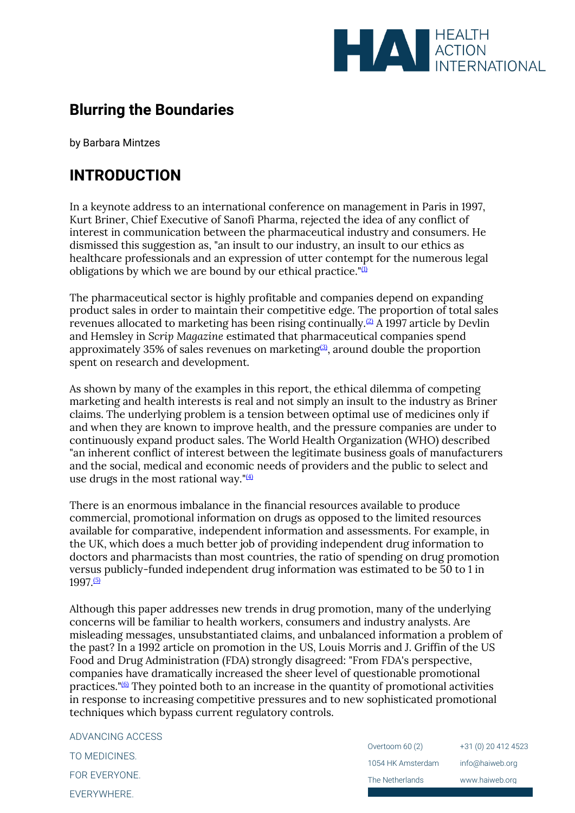

## **Blurring the Boundaries**

by Barbara Mintzes

## **INTRODUCTION**

In a keynote address to an international conference on management in Paris in 1997, Kurt Briner, Chief Executive of Sanofi Pharma, rejected the idea of any conflict of interest in communication between the pharmaceutical industry and consumers. He dismissed this suggestion as, "an insult to our industry, an insult to our ethics as healthcare professionals and an expression of utter contempt for the numerous legal obligations by which we are bound by our ethical practice." $\overline{u}$ 

The pharmaceutical sector is highly profitable and companies depend on expanding product sales in order to maintain their competitive edge. The proportion of total sales revenues allocated to marketing has been rising continually.<sup>[\(2\)](file:///C:/Users/Dimity/HAI/HAI%20-%20Documenten/Website/HAI/www/old_www/old/pubs/blurring/blurring.intro.html%23(2))</sup> A 1997 article by Devlin and Hemsley in *Scrip Magazine* estimated that pharmaceutical companies spend approximately 35% of sales revenues on marketing $(3)$ , around double the proportion spent on research and development.

As shown by many of the examples in this report, the ethical dilemma of competing marketing and health interests is real and not simply an insult to the industry as Briner claims. The underlying problem is a tension between optimal use of medicines only if and when they are known to improve health, and the pressure companies are under to continuously expand product sales. The World Health Organization (WHO) described "an inherent conflict of interest between the legitimate business goals of manufacturers and the social, medical and economic needs of providers and the public to select and use drugs in the most rational way." $(4)$ 

There is an enormous imbalance in the financial resources available to produce commercial, promotional information on drugs as opposed to the limited resources available for comparative, independent information and assessments. For example, in the UK, which does a much better job of providing independent drug information to doctors and pharmacists than most countries, the ratio of spending on drug promotion versus publicly-funded independent drug information was estimated to be 50 to 1 in 1997.[\(5\)](file:///C:/Users/Dimity/HAI/HAI%20-%20Documenten/Website/HAI/www/old_www/old/pubs/blurring/blurring.intro.html%23N_5_)

Although this paper addresses new trends in drug promotion, many of the underlying concerns will be familiar to health workers, consumers and industry analysts. Are misleading messages, unsubstantiated claims, and unbalanced information a problem of the past? In a 1992 article on promotion in the US, Louis Morris and J. Griffin of the US Food and Drug Administration (FDA) strongly disagreed: "From FDA's perspective, companies have dramatically increased the sheer level of questionable promotional practices."[\(6\)](file:///C:/Users/Dimity/HAI/HAI%20-%20Documenten/Website/HAI/www/old_www/old/pubs/blurring/blurring.intro.html%23N_6_) They pointed both to an increase in the quantity of promotional activities in response to increasing competitive pressures and to new sophisticated promotional techniques which bypass current regulatory controls.

ADVANCING ACCESS TO MEDICINES. FOR EVERYONE. EVERYWHERE.

Overtoom 60 (2) 1054 HK Amsterdam The Netherlands +31 (0) 20 412 4523 info@haiweb.org www.haiweb.org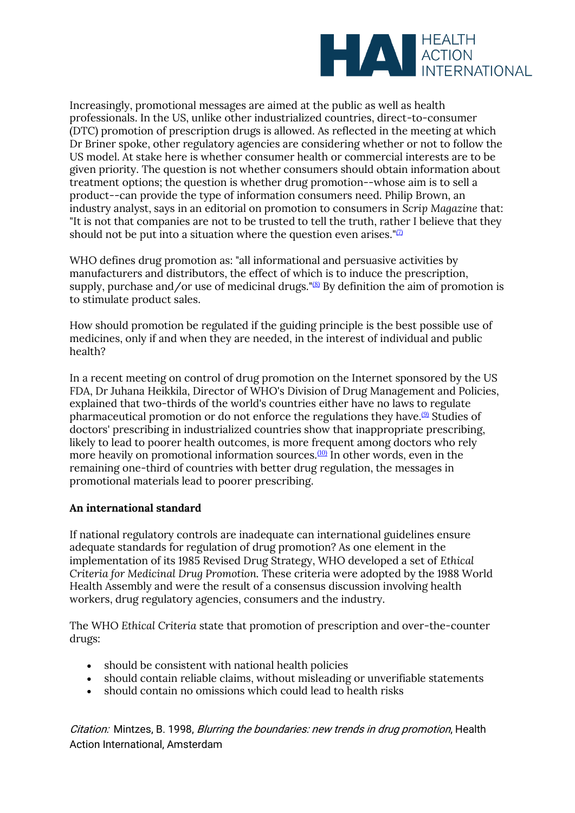

Increasingly, promotional messages are aimed at the public as well as health professionals. In the US, unlike other industrialized countries, direct-to-consumer (DTC) promotion of prescription drugs is allowed. As reflected in the meeting at which Dr Briner spoke, other regulatory agencies are considering whether or not to follow the US model. At stake here is whether consumer health or commercial interests are to be given priority. The question is not whether consumers should obtain information about treatment options; the question is whether drug promotion--whose aim is to sell a product--can provide the type of information consumers need. Philip Brown, an industry analyst, says in an editorial on promotion to consumers in *Scrip Magazine* that: "It is not that companies are not to be trusted to tell the truth, rather I believe that they should not be put into a situation where the question even arises." $\mathbb{Z}$ 

WHO defines drug promotion as: "all informational and persuasive activities by manufacturers and distributors, the effect of which is to induce the prescription, supply, purchase and/or use of medicinal drugs." $(8)$  By definition the aim of promotion is to stimulate product sales.

How should promotion be regulated if the guiding principle is the best possible use of medicines, only if and when they are needed, in the interest of individual and public health?

In a recent meeting on control of drug promotion on the Internet sponsored by the US FDA, Dr Juhana Heikkila, Director of WHO's Division of Drug Management and Policies, explained that two-thirds of the world's countries either have no laws to regulate pharmaceutical promotion or do not enforce the regulations they have.<sup>[\(9\)](file:///C:/Users/Dimity/HAI/HAI%20-%20Documenten/Website/HAI/www/old_www/old/pubs/blurring/blurring.intro.html%23N_9_)</sup> Studies of doctors' prescribing in industrialized countries show that inappropriate prescribing, likely to lead to poorer health outcomes, is more frequent among doctors who rely more heavily on promotional information sources.<sup>[\(10\)](file:///C:/Users/Dimity/HAI/HAI%20-%20Documenten/Website/HAI/www/old_www/old/pubs/blurring/blurring.intro.html%23N_10_)</sup> In other words, even in the remaining one-third of countries with better drug regulation, the messages in promotional materials lead to poorer prescribing.

## **An international standard**

If national regulatory controls are inadequate can international guidelines ensure adequate standards for regulation of drug promotion? As one element in the implementation of its 1985 Revised Drug Strategy, WHO developed a set of *Ethical Criteria for Medicinal Drug Promotion.* These criteria were adopted by the 1988 World Health Assembly and were the result of a consensus discussion involving health workers, drug regulatory agencies, consumers and the industry.

The WHO *Ethical Criteria* state that promotion of prescription and over-the-counter drugs:

- should be consistent with national health policies
- should contain reliable claims, without misleading or unverifiable statements
- should contain no omissions which could lead to health risks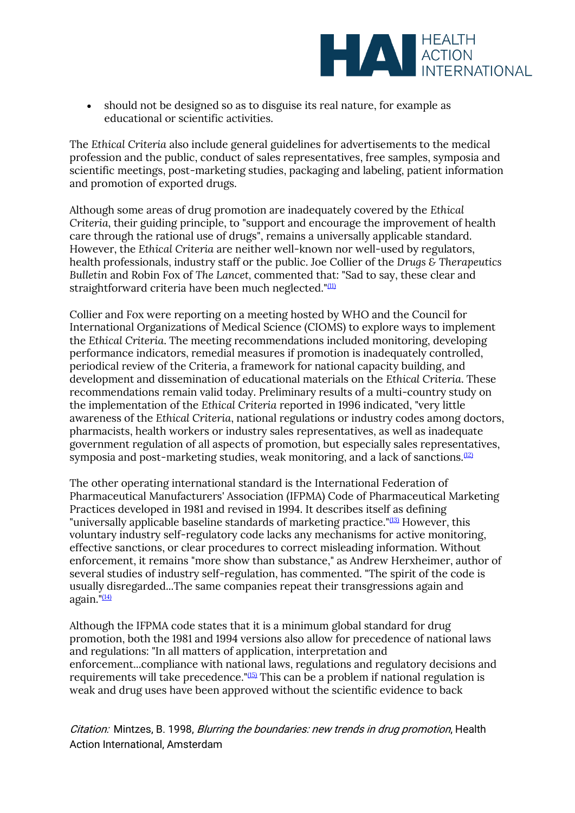

• should not be designed so as to disguise its real nature, for example as educational or scientific activities.

The *Ethical Criteria* also include general guidelines for advertisements to the medical profession and the public, conduct of sales representatives, free samples, symposia and scientific meetings, post-marketing studies, packaging and labeling, patient information and promotion of exported drugs.

Although some areas of drug promotion are inadequately covered by the *Ethical Criteria*, their guiding principle, to "support and encourage the improvement of health care through the rational use of drugs", remains a universally applicable standard. However, the *Ethical Criteria* are neither well-known nor well-used by regulators, health professionals, industry staff or the public. Joe Collier of the *Drugs & Therapeutics Bulletin* and Robin Fox of *The Lancet,* commented that*:* "Sad to say, these clear and straightforward criteria have been much neglected."<sup>[\(11\)](file:///C:/Users/Dimity/HAI/HAI%20-%20Documenten/Website/HAI/www/old_www/old/pubs/blurring/blurring.intro.html%23N_11_)</sup>

Collier and Fox were reporting on a meeting hosted by WHO and the Council for International Organizations of Medical Science (CIOMS) to explore ways to implement the *Ethical Criteria*. The meeting recommendations included monitoring, developing performance indicators, remedial measures if promotion is inadequately controlled, periodical review of the Criteria, a framework for national capacity building, and development and dissemination of educational materials on the *Ethical Criteria*. These recommendations remain valid today. Preliminary results of a multi-country study on the implementation of the *Ethical Criteria* reported in 1996 indicated, "very little awareness of the *Ethical Criteria*, national regulations or industry codes among doctors, pharmacists, health workers or industry sales representatives, as well as inadequate government regulation of all aspects of promotion, but especially sales representatives, symposia and post-marketing studies, weak monitoring, and a lack of sanctions.<sup>[\(12\)](file:///C:/Users/Dimity/HAI/HAI%20-%20Documenten/Website/HAI/www/old_www/old/pubs/blurring/blurring.intro.html%23N_12_)</sup>

The other operating international standard is the International Federation of Pharmaceutical Manufacturers' Association (IFPMA) Code of Pharmaceutical Marketing Practices developed in 1981 and revised in 1994. It describes itself as defining "universally applicable baseline standards of marketing practice."[\(13\)](file:///C:/Users/Dimity/HAI/HAI%20-%20Documenten/Website/HAI/www/old_www/old/pubs/blurring/blurring.intro.html%23N_13_) However, this voluntary industry self-regulatory code lacks any mechanisms for active monitoring, effective sanctions, or clear procedures to correct misleading information. Without enforcement, it remains "more show than substance," as Andrew Herxheimer, author of several studies of industry self-regulation, has commented. "The spirit of the code is usually disregarded...The same companies repeat their transgressions again and again.  $(14)$ 

Although the IFPMA code states that it is a minimum global standard for drug promotion, both the 1981 and 1994 versions also allow for precedence of national laws and regulations: "In all matters of application, interpretation and enforcement...compliance with national laws, regulations and regulatory decisions and requirements will take precedence."[\(15\)](file:///C:/Users/Dimity/HAI/HAI%20-%20Documenten/Website/HAI/www/old_www/old/pubs/blurring/blurring.intro.html%23N_15_) This can be a problem if national regulation is weak and drug uses have been approved without the scientific evidence to back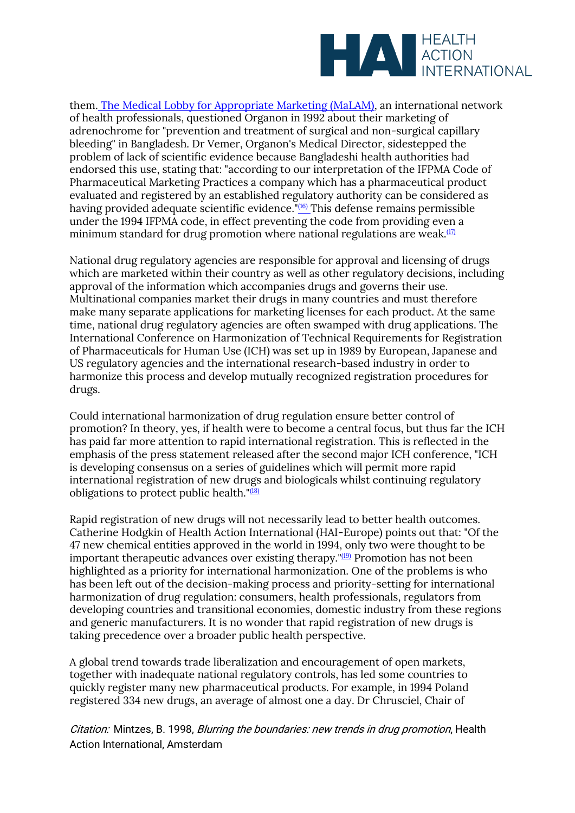

them. [The Medical Lobby for Appropriate Marketing \(MaLAM\),](http://www.camtech.net.au/malam) an international network of health professionals, questioned Organon in 1992 about their marketing of adrenochrome for "prevention and treatment of surgical and non-surgical capillary bleeding" in Bangladesh. Dr Vemer, Organon's Medical Director, sidestepped the problem of lack of scientific evidence because Bangladeshi health authorities had endorsed this use, stating that: "according to our interpretation of the IFPMA Code of Pharmaceutical Marketing Practices a company which has a pharmaceutical product evaluated and registered by an established regulatory authority can be considered as having provided adequate scientific evidence."[\(16\)](file:///C:/Users/Dimity/HAI/HAI%20-%20Documenten/Website/HAI/www/old_www/old/pubs/blurring/blurring.intro.html%23N_16_) This defense remains permissible under the 1994 IFPMA code, in effect preventing the code from providing even a minimum standard for drug promotion where national regulations are weak. $(17)$ 

National drug regulatory agencies are responsible for approval and licensing of drugs which are marketed within their country as well as other regulatory decisions, including approval of the information which accompanies drugs and governs their use. Multinational companies market their drugs in many countries and must therefore make many separate applications for marketing licenses for each product. At the same time, national drug regulatory agencies are often swamped with drug applications. The International Conference on Harmonization of Technical Requirements for Registration of Pharmaceuticals for Human Use (ICH) was set up in 1989 by European, Japanese and US regulatory agencies and the international research-based industry in order to harmonize this process and develop mutually recognized registration procedures for drugs.

Could international harmonization of drug regulation ensure better control of promotion? In theory, yes, if health were to become a central focus, but thus far the ICH has paid far more attention to rapid international registration. This is reflected in the emphasis of the press statement released after the second major ICH conference, "ICH is developing consensus on a series of guidelines which will permit more rapid international registration of new drugs and biologicals whilst continuing regulatory obligations to protect public health." $(18)$ 

Rapid registration of new drugs will not necessarily lead to better health outcomes. Catherine Hodgkin of Health Action International (HAI-Europe) points out that: "Of the 47 new chemical entities approved in the world in 1994, only two were thought to be important therapeutic advances over existing therapy.  $\frac{1}{2}$  Promotion has not been highlighted as a priority for international harmonization. One of the problems is who has been left out of the decision-making process and priority-setting for international harmonization of drug regulation: consumers, health professionals, regulators from developing countries and transitional economies, domestic industry from these regions and generic manufacturers. It is no wonder that rapid registration of new drugs is taking precedence over a broader public health perspective.

A global trend towards trade liberalization and encouragement of open markets, together with inadequate national regulatory controls, has led some countries to quickly register many new pharmaceutical products. For example, in 1994 Poland registered 334 new drugs, an average of almost one a day. Dr Chrusciel, Chair of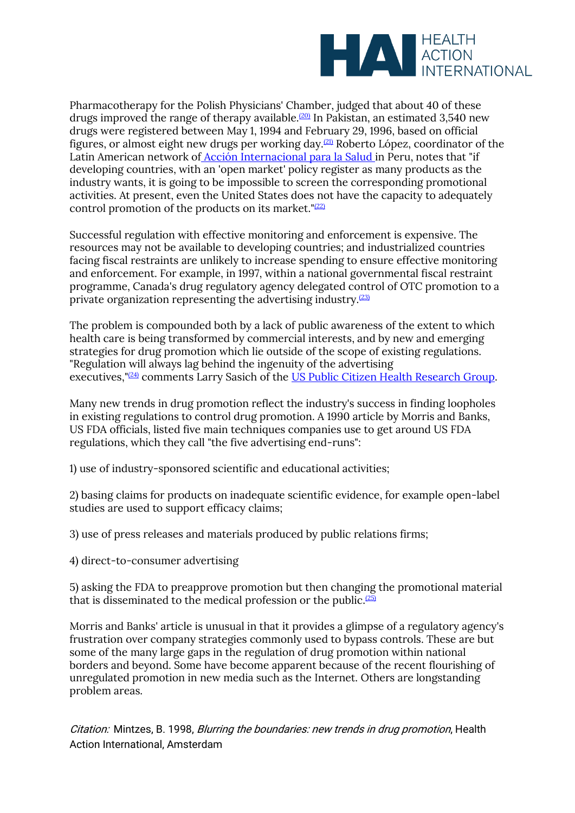

Pharmacotherapy for the Polish Physicians' Chamber, judged that about 40 of these drugs improved the range of therapy available.<sup>[\(20\)](file:///C:/Users/Dimity/HAI/HAI%20-%20Documenten/Website/HAI/www/old_www/old/pubs/blurring/blurring.intro.html%23N_20_)</sup> In Pakistan, an estimated 3,540 new drugs were registered between May 1, 1994 and February 29, 1996, based on official figures, or almost eight new drugs per working day.[\(21\)](file:///C:/Users/Dimity/HAI/HAI%20-%20Documenten/Website/HAI/www/old_www/old/pubs/blurring/blurring.intro.html%23N_21_) Roberto López, coordinator of the Latin American network of [Acción Internacional para la Salud](http://ekeko2.rcp.net.pe/AIS-LAC/) in Peru, notes that "if developing countries, with an 'open market' policy register as many products as the industry wants, it is going to be impossible to screen the corresponding promotional activities. At present, even the United States does not have the capacity to adequately control promotion of the products on its market." $(22)$ 

Successful regulation with effective monitoring and enforcement is expensive. The resources may not be available to developing countries; and industrialized countries facing fiscal restraints are unlikely to increase spending to ensure effective monitoring and enforcement. For example, in 1997, within a national governmental fiscal restraint programme, Canada's drug regulatory agency delegated control of OTC promotion to a private organization representing the advertising industry. $(23)$ 

The problem is compounded both by a lack of public awareness of the extent to which health care is being transformed by commercial interests, and by new and emerging strategies for drug promotion which lie outside of the scope of existing regulations. "Regulation will always lag behind the ingenuity of the advertising executives,"<sup>[\(24\)](file:///C:/Users/Dimity/HAI/HAI%20-%20Documenten/Website/HAI/www/old_www/old/pubs/blurring/blurring.intro.html%23N_24_)</sup> comments Larry Sasich of the [US Public Citizen Health Research Group.](http://www.citizen.org/)

Many new trends in drug promotion reflect the industry's success in finding loopholes in existing regulations to control drug promotion. A 1990 article by Morris and Banks, US FDA officials, listed five main techniques companies use to get around US FDA regulations, which they call "the five advertising end-runs":

1) use of industry-sponsored scientific and educational activities;

2) basing claims for products on inadequate scientific evidence, for example open-label studies are used to support efficacy claims;

3) use of press releases and materials produced by public relations firms;

4) direct-to-consumer advertising

5) asking the FDA to preapprove promotion but then changing the promotional material that is disseminated to the medical profession or the public. $(25)$ 

Morris and Banks' article is unusual in that it provides a glimpse of a regulatory agency's frustration over company strategies commonly used to bypass controls. These are but some of the many large gaps in the regulation of drug promotion within national borders and beyond. Some have become apparent because of the recent flourishing of unregulated promotion in new media such as the Internet. Others are longstanding problem areas.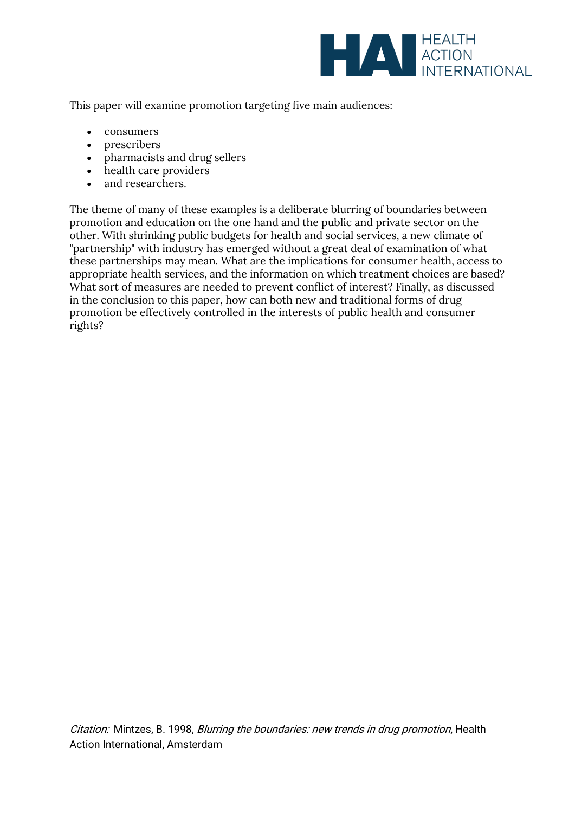

This paper will examine promotion targeting five main audiences:

- consumers
- prescribers
- pharmacists and drug sellers
- health care providers
- and researchers.

The theme of many of these examples is a deliberate blurring of boundaries between promotion and education on the one hand and the public and private sector on the other. With shrinking public budgets for health and social services, a new climate of "partnership" with industry has emerged without a great deal of examination of what these partnerships may mean. What are the implications for consumer health, access to appropriate health services, and the information on which treatment choices are based? What sort of measures are needed to prevent conflict of interest? Finally, as discussed in the conclusion to this paper, how can both new and traditional forms of drug promotion be effectively controlled in the interests of public health and consumer rights?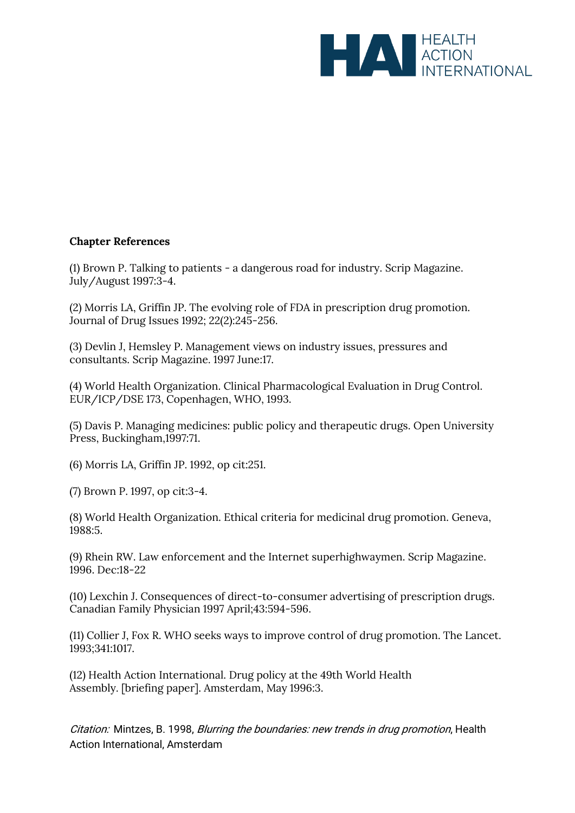

## **Chapter References**

(1) Brown P. Talking to patients - a dangerous road for industry. Scrip Magazine. July/August 1997:3-4.

(2) Morris LA, Griffin JP. The evolving role of FDA in prescription drug promotion. Journal of Drug Issues 1992; 22(2):245-256.

(3) Devlin J, Hemsley P. Management views on industry issues, pressures and consultants. Scrip Magazine*.* 1997 June:17.

(4) World Health Organization. Clinical Pharmacological Evaluation in Drug Control. EUR/ICP/DSE 173, Copenhagen, WHO, 1993.

(5) Davis P. Managing medicines: public policy and therapeutic drugs. Open University Press, Buckingham,1997:71.

(6) Morris LA, Griffin JP. 1992, op cit:251.

(7) Brown P. 1997, op cit:3-4.

(8) World Health Organization. Ethical criteria for medicinal drug promotion. Geneva, 1988:5.

(9) Rhein RW. Law enforcement and the Internet superhighwaymen. Scrip Magazine. 1996. Dec:18-22

(10) Lexchin J. Consequences of direct-to-consumer advertising of prescription drugs. Canadian Family Physician 1997 April;43:594-596.

(11) Collier J, Fox R. WHO seeks ways to improve control of drug promotion. The Lancet. 1993;341:1017.

(12) Health Action International. Drug policy at the 49th World Health Assembly*.* [briefing paper]. Amsterdam, May 1996:3.